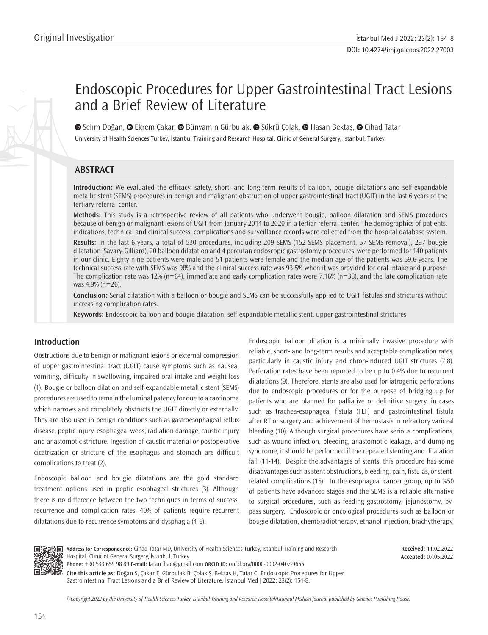# Endoscopic Procedures for Upper Gastrointestinal Tract Lesions and a Brief Review of Literature

University of Health Sciences Turkey, İstanbul Training and Research Hospital, Clinic of General Surgery, İstanbul, Turkey  $\bullet$ Selim Doğan,  $\bullet$  Ekrem Çakar,  $\bullet$  Bünyamin Gürbulak,  $\bullet$  Şükrü Çolak,  $\bullet$  Hasan Bektaş,  $\bullet$  Cihad Tatar

# **ABSTRACT**

**Introduction:** We evaluated the efficacy, safety, short- and long-term results of balloon, bougie dilatations and self-expandable metallic stent (SEMS) procedures in benign and malignant obstruction of upper gastrointestinal tract (UGIT) in the last 6 years of the tertiary referral center.

**Methods:** This study is a retrospective review of all patients who underwent bougie, balloon dilatation and SEMS procedures because of benign or malignant lesions of UGIT from January 2014 to 2020 in a tertiar referral center. The demographics of patients, indications, technical and clinical success, complications and surveillance records were collected from the hospital database system.

**Results:** In the last 6 years, a total of 530 procedures, including 209 SEMS (152 SEMS placement, 57 SEMS removal), 297 bougie dilatation (Savary-Gilliard), 20 balloon dilatation and 4 percutan endoscopic gastrostomy procedures, were performed for 140 patients in our clinic. Eighty-nine patients were male and 51 patients were female and the median age of the patients was 59.6 years. The technical success rate with SEMS was 98% and the clinical success rate was 93.5% when it was provided for oral intake and purpose. The complication rate was 12% (n=64), immediate and early complication rates were 7.16% (n=38), and the late complication rate was 4.9% (n=26).

**Conclusion:** Serial dilatation with a balloon or bougie and SEMS can be successfully applied to UGIT fistulas and strictures without increasing complication rates.

**Keywords:** Endoscopic balloon and bougie dilatation, self-expandable metallic stent, upper gastrointestinal strictures

## **Introduction**

Obstructions due to benign or malignant lesions or external compression of upper gastrointestinal tract (UGIT) cause symptoms such as nausea, vomiting, difficulty in swallowing, impaired oral intake and weight loss (1). Bougie or balloon dilation and self-expandable metallic stent (SEMS) procedures are used to remain the luminal patency for due to a carcinoma which narrows and completely obstructs the UGIT directly or externally. They are also used in benign conditions such as gastroesophageal reflux disease, peptic injury, esophageal webs, radiation damage, caustic injury and anastomotic stricture. Ingestion of caustic material or postoperative cicatrization or stricture of the esophagus and stomach are difficult complications to treat (2).

Endoscopic balloon and bougie dilatations are the gold standard treatment options used in peptic esophageal strictures (3). Although there is no difference between the two techniques in terms of success, recurrence and complication rates, 40% of patients require recurrent dilatations due to recurrence symptoms and dysphagia (4-6).

Endoscopic balloon dilation is a minimally invasive procedure with reliable, short- and long-term results and acceptable complication rates, particularly in caustic injury and chron-induced UGIT strictures (7,8). Perforation rates have been reported to be up to 0.4% due to recurrent dilatations (9). Therefore, stents are also used for iatrogenic perforations due to endoscopic procedures or for the purpose of bridging up for patients who are planned for palliative or definitive surgery, in cases such as trachea-esophageal fistula (TEF) and gastrointestinal fistula after RT or surgery and achievement of hemostasis in refractory variceal bleeding (10). Although surgical procedures have serious complications, such as wound infection, bleeding, anastomotic leakage, and dumping syndrome, it should be performed if the repeated stenting and dilatation fail (11-14). Despite the advantages of stents, this procedure has some disadvantages such as stent obstructions, bleeding, pain, fistulas, or stentrelated complications (15). In the esophageal cancer group, up to %50 of patients have advanced stages and the SEMS is a reliable alternative to surgical procedures, such as feeding gastrostomy, jejunostomy, bypass surgery. Endoscopic or oncological procedures such as balloon or bougie dilatation, chemoradiotherapy, ethanol injection, brachytherapy,



**Address for Correspondence:** Cihad Tatar MD, University of Health Sciences Turkey, İstanbul Training and Research Hospital, Clinic of General Surgery, İstanbul, Turkey **Phone:** +90 533 659 98 89 **E-mail:** tatarcihad@gmail.com **ORCID ID:** orcid.org/0000-0002-0407-9655

**Cite this article as:** Doğan S, Çakar E, Gürbulak B, Çolak Ş, Bektaş H, Tatar C. Endoscopic Procedures for Upper Gastrointestinal Tract Lesions and a Brief Review of Literature. İstanbul Med J 2022; 23(2): 154-8.

**Accepted:** 07.05.2022

**Received:** 11.02.2022

*©*Copyright 2022 by the University of Health Sciences Turkey, İstanbul Training and Research Hospital/İstanbul Medical Journal published by Galenos Publishing House.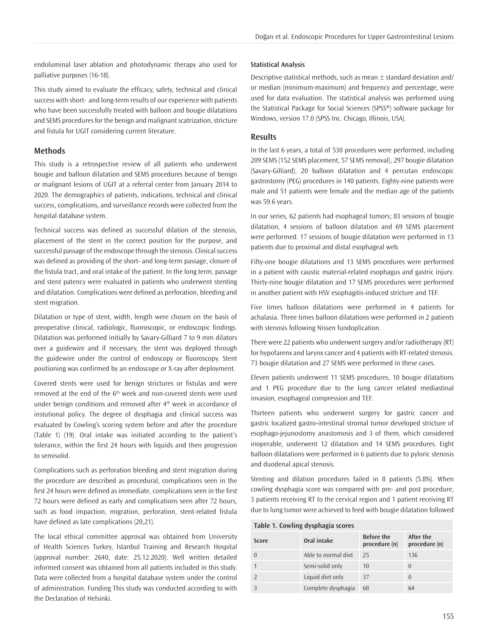endoluminal laser ablation and photodynamic therapy also used for palliative purposes (16-18).

This study aimed to evaluate the efficacy, safety, technical and clinical success with short- and long-term results of our experience with patients who have been successfully treated with balloon and bougie dilatations and SEMS procedures for the benign and malignant scatrization, stricture and fistula for UGIT considering current literature.

#### **Methods**

This study is a retrospective review of all patients who underwent bougie and balloon dilatation and SEMS procedures because of benign or malignant lesions of UGIT at a referral center from January 2014 to 2020. The demographics of patients, indications, technical and clinical success, complications, and surveillance records were collected from the hospital database system.

Technical success was defined as successful dilation of the stenosis, placement of the stent in the correct position for the purpose, and successful passage of the endoscope through the stenosis. Clinical success was defined as providing of the short- and long-term passage, closure of the fistula tract, and oral intake of the patient. In the long term, passage and stent patency were evaluated in patients who underwent stenting and dilatation. Complications were defined as perforation, bleeding and stent migration.

Dilatation or type of stent, width, length were chosen on the basis of preoperative clinical, radiologic, fluoroscopic, or endoscopic findings. Dilatation was performed initially by Savary-Gilliard 7 to 9 mm dilators over a guidewire and if necessary, the stent was deployed through the guidewire under the control of endoscopy or fluoroscopy. Stent positioning was confirmed by an endoscope or X-ray after deployment.

Covered stents were used for benign strictures or fistulas and were removed at the end of the  $6<sup>th</sup>$  week and non-covered stents were used under benign conditions and removed after 4<sup>th</sup> week in accordance of instutional policy. The degree of dysphagia and clinical success was evaluated by Cowling's scoring system before and after the procedure (Table 1) (19). Oral intake was initiated according to the patient's tolerance, within the first 24 hours with liquids and then progression to semisolid.

Complications such as perforation bleeding and stent migration during the procedure are described as procedural, complications seen in the first 24 hours were defined as immediate, complications seen in the first 72 hours were defined as early and complications seen after 72 hours, such as food impaction, migration, perforation, stent-related fistula have defined as late complications (20,21).

The local ethical committee approval was obtained from University of Health Sciences Turkey, İstanbul Training and Research Hospital (approval number: 2640, date: 25.12.2020). Well written detailed informed consent was obtained from all patients included in this study. Data were collected from a hospital database system under the control of administration. Funding This study was conducted according to with the Declaration of Helsinki.

#### **Statistical Analysis**

Descriptive statistical methods, such as mean  $\pm$  standard deviation and/ or median (minimum-maximum) and frequency and percentage, were used for data evaluation. The statistical analysis was performed using the Statistical Package for Social Sciences (SPSS®) software package for Windows, version 17.0 (SPSS Inc. Chicago, Illinois, USA).

#### **Results**

In the last 6 years, a total of 530 procedures were performed, including 209 SEMS (152 SEMS placement, 57 SEMS removal), 297 bougie dilatation (Savary-Gilliard), 20 balloon dilatation and 4 percutan endoscopic gastrostomy (PEG) procedures in 140 patients. Eighty-nine patients were male and 51 patients were female and the median age of the patients was 59.6 years.

In our series, 62 patients had esophageal tumors; 83 sessions of bougie dilatation, 4 sessions of balloon dilatation and 69 SEMS placement were performed. 17 sessions of bougie dilatation were performed in 13 patients due to proximal and distal esophageal web.

Fifty-one bougie dilatations and 13 SEMS procedures were performed in a patient with caustic material-related esophagus and gastric injury. Thirty-nine bougie dilatation and 17 SEMS procedures were performed in another patient with HSV esophagitis-induced stricture and TEF.

Five times balloon dilatations were performed in 4 patients for achalasia. Three times balloon dilatations were performed in 2 patients with stenosis following Nissen fundoplication.

There were 22 patients who underwent surgery and/or radiotherapy (RT) for hypofarenx and larynx cancer and 4 patients with RT-related stenosis. 73 bougie dilatation and 27 SEMS were performed in these cases.

Eleven patients underwent 11 SEMS procedures, 10 bougie dilatations and 1 PEG procedure due to the lung cancer related mediastinal invasion, esophageal compression and TEF.

Thirteen patients who underwent surgery for gastric cancer and gastric localized gastro-intestinal stromal tumor developed stricture of esophago-jejunostomy anastomosis and 3 of them, which considered inoperable, underwent 12 dilatation and 14 SEMS procedures. Eight balloon dilatations were performed in 6 patients due to pyloric stenosis and duodenal apical stenosis.

Stenting and dilation procedures failed in 8 patients (5.8%). When cowling dysphagia score was compared with pre- and post procedure, 3 patients receiving RT to the cervical region and 1 patient receiving RT due to lung tumor were achieved to feed with bougie dilatation followed

#### **Table 1. Cowling dysphagia scores**

| Score | Oral intake         | <b>Before the</b><br>procedure (n) | After the<br>procedure (n) |  |  |  |
|-------|---------------------|------------------------------------|----------------------------|--|--|--|
|       | Able to normal diet | 25                                 | 136                        |  |  |  |
|       | Semi-solid only     | 10                                 | $\Omega$                   |  |  |  |
|       | Liquid diet only    | 37                                 | $\Omega$                   |  |  |  |
|       | Complete dysphagia  | 68                                 | 64                         |  |  |  |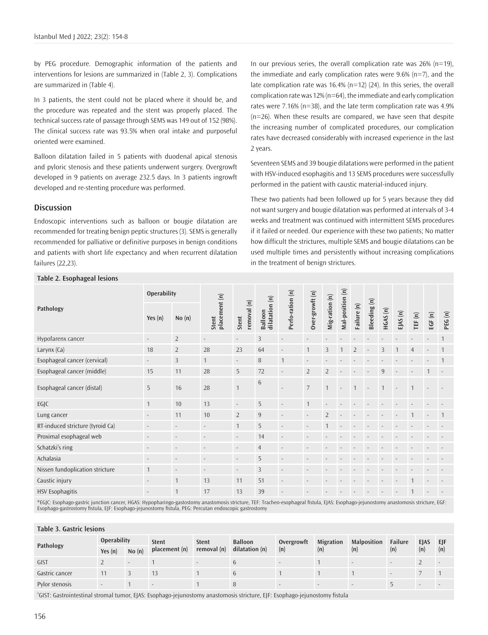by PEG procedure. Demographic information of the patients and interventions for lesions are summarized in (Table 2, 3). Complications are summarized in (Table 4).

In 3 patients, the stent could not be placed where it should be, and the procedure was repeated and the stent was properly placed. The technical success rate of passage through SEMS was 149 out of 152 (98%). The clinical success rate was 93.5% when oral intake and purposeful oriented were examined.

Balloon dilatation failed in 5 patients with duodenal apical stenosis and pyloric stenosis and these patients underwent surgery. Overgrowft developed in 9 patients on average 232.5 days. In 3 patients ingrowft developed and re-stenting procedure was performed.

#### **Discussion**

**Table 2. Esophageal lesions**

Endoscopic interventions such as balloon or bougie dilatation are recommended for treating benign peptic structures (3). SEMS is generally recommended for palliative or definitive purposes in benign conditions and patients with short life expectancy and when recurrent dilatation failures (22,23).

In our previous series, the overall complication rate was  $26\%$  (n=19), the immediate and early complication rates were  $9.6\%$  (n=7), and the late complication rate was 16.4% (n=12) (24). In this series, the overall complication rate was 12% (n=64), the immediate and early complication rates were 7.16% (n=38), and the late term complication rate was 4.9% (n=26). When these results are compared, we have seen that despite the increasing number of complicated procedures, our complication rates have decreased considerably with increased experience in the last 2 years.

Seventeen SEMS and 39 bougie dilatations were performed in the patient with HSV-induced esophagitis and 13 SEMS procedures were successfully performed in the patient with caustic material-induced injury.

These two patients had been followed up for 5 years because they did not want surgery and bougie dilatation was performed at intervals of 3-4 weeks and treatment was continued with intermittent SEMS procedures if it failed or needed. Our experience with these two patients; No matter how difficult the strictures, multiple SEMS and bougie dilatations can be used multiple times and persistently without increasing complications in the treatment of benign strictures.

| TUNIC 4. LJUPHUGCUI ICJIUNIJ     |                          |                          |                          |                                            |                           |                          |                            |                          |                  |                |                |                |                          |                          |        |        |
|----------------------------------|--------------------------|--------------------------|--------------------------|--------------------------------------------|---------------------------|--------------------------|----------------------------|--------------------------|------------------|----------------|----------------|----------------|--------------------------|--------------------------|--------|--------|
| Pathology                        | <b>Operability</b>       |                          |                          |                                            |                           |                          |                            |                          |                  |                |                |                |                          |                          |        |        |
|                                  | Yes $(n)$                | No(n)                    | placement (n)<br>Stent   | removal (n)<br>Stent                       | Balloon<br>dilatation (n) | Perfo-ration (n)         | Over-growft (n)            | Mig-ration (n)           | Mal-position (n) | Failure (n)    | Bleeding(n)    | HGAS(n)        | EJAS(n)                  | TEF(n)                   | EGF(n) | PEG(n) |
| Hypofarenx cancer                | $\overline{\phantom{a}}$ | $\overline{2}$           | $\overline{\phantom{a}}$ | $\overline{\phantom{a}}$                   | $\overline{3}$            | $\overline{\phantom{m}}$ |                            |                          |                  |                |                |                |                          |                          |        |        |
| Larynx (Ca)                      | 18                       | $\overline{2}$           | 28                       | 23                                         | 64                        | $\overline{a}$           | $\mathbf{1}$               | 3                        |                  | $\overline{2}$ |                | 3              |                          | $\overline{4}$           |        |        |
| Esophageal cancer (cervical)     | $\overline{\phantom{a}}$ | $\overline{3}$           | $\mathbf{1}$             | $\overline{\phantom{a}}$                   | 8                         | $\mathbf{1}$             | $\overline{\phantom{a}}$   | $\overline{\phantom{a}}$ |                  |                |                |                |                          |                          |        |        |
| Esophageal cancer (middle)       | 15                       | 11                       | 28                       | 5                                          | 72                        | $\overline{\phantom{a}}$ | $\overline{2}$             | $\overline{2}$           |                  |                |                | 9              |                          |                          |        |        |
| Esophageal cancer (distal)       | 5                        | 16                       | 28                       | $\mathbf{1}$                               | $\,6\,$                   | $\overline{\phantom{a}}$ | $\overline{7}$             | $\overline{1}$           |                  | $\mathbf{1}$   | $\overline{a}$ | $\overline{1}$ | $\overline{a}$           | $\mathbf{1}$             |        |        |
| EGJC                             | $\mathbf{1}$             | 10                       | 13                       | $\overline{\phantom{a}}$                   | 5                         | $\overline{a}$           | $\mathbf{1}$               |                          |                  |                |                |                |                          |                          |        |        |
| Lung cancer                      | $\overline{a}$           | 11                       | 10                       | $\overline{2}$                             | $\boldsymbol{9}$          | $\overline{a}$           | $\overline{\phantom{a}}$   | $\overline{2}$           |                  |                |                |                |                          | $\mathbf{1}$             |        |        |
| RT-induced stricture (tyroid Ca) | $\overline{\phantom{a}}$ | $\overline{\phantom{a}}$ | $\overline{\phantom{a}}$ | $\mathbf{1}$                               | 5                         | $\overline{\phantom{a}}$ | $\overline{\phantom{a}}$   | $\mathbf{1}$             |                  |                |                |                |                          |                          |        |        |
| Proximal esophageal web          | $\centerdot$             | $\overline{\phantom{a}}$ | $\overline{\phantom{a}}$ | $\overline{\phantom{a}}$                   | 14                        | $\overline{\phantom{a}}$ | $\overline{\phantom{a}}$   |                          |                  |                |                |                |                          |                          |        |        |
| Schatzki's ring                  | $\overline{\phantom{a}}$ | $\overline{\phantom{a}}$ | $\overline{\phantom{a}}$ | $\overline{\phantom{a}}$                   | $\overline{4}$            | $\overline{\phantom{a}}$ |                            |                          |                  |                |                |                |                          |                          |        |        |
| Achalasia                        | $\overline{\phantom{a}}$ | $\overline{\phantom{a}}$ | $\overline{\phantom{a}}$ | $\overline{a}$                             | 5                         | $\overline{a}$           |                            |                          |                  |                |                |                |                          |                          |        |        |
| Nissen fundoplication stricture  | $\mathbf{1}$             | $\overline{\phantom{a}}$ | $\overline{\phantom{a}}$ | $\overline{\phantom{a}}$                   | $\overline{3}$            | $\overline{\phantom{a}}$ | $\overline{\phantom{a}}$   | $\overline{\phantom{a}}$ |                  |                |                |                | $\overline{\phantom{a}}$ | $\overline{\phantom{a}}$ |        |        |
| Caustic injury                   | $\overline{\phantom{a}}$ | $\mathbf{1}$             | 13                       | 11                                         | 51                        | $\overline{\phantom{a}}$ | $\overline{a}$             | $\overline{\phantom{a}}$ |                  |                |                |                | $\overline{\phantom{a}}$ | $\mathbf{1}$             |        |        |
| <b>HSV Esophagitis</b>           | $\overline{\phantom{a}}$ | $\mathbf{1}$             | 17                       | 13                                         | 39                        | $\overline{a}$           |                            |                          |                  |                |                |                |                          | $\mathbf{1}$             |        |        |
| $1 - 1 - 1 - 1$<br>$\sim$ $\sim$ |                          |                          |                          | <b>Contract Contract Contract Contract</b> |                           |                          | $\cdots$ $\cdots$ $\cdots$ |                          |                  |                |                |                |                          |                          |        |        |

\*EGJC: Esophago-gastric junction cancer, HGAS: Hypopharingo-gastostomy anastomosis stricture, TEF: Tracheo-esophageal fistula, EJAS: Esophago-jejunostomy anastomosis stricture, EGF:<br>Esophago-gastrostomy fistula, EJF: Esoph

#### **Table 3. Gastric lesions**

| Pathology                                                                                                       | <b>Operability</b> |       | <b>Stent</b>  | <b>Stent</b> | <b>Balloon</b> | Overgrowft | Migration | <b>Malposition</b> | Failure | <b>EJAS</b> | EIF |
|-----------------------------------------------------------------------------------------------------------------|--------------------|-------|---------------|--------------|----------------|------------|-----------|--------------------|---------|-------------|-----|
|                                                                                                                 | Yes $(n)$          | No(n) | placement (n) | removal (n)  | dilatation (n) | (n)        | (n)       | (n)                | (n)     | (n)         | (n) |
| GIST                                                                                                            |                    |       |               |              |                |            |           |                    |         |             |     |
| Gastric cancer                                                                                                  |                    |       |               |              |                |            |           |                    |         |             |     |
| Pylor stenosis                                                                                                  |                    |       |               |              |                |            |           |                    |         |             |     |
| the contract of the contract of the contract of the contract of the contract of the contract of the contract of |                    |       |               |              |                |            |           |                    |         |             |     |

\* GIST: Gastrointestinal stromal tumor, EJAS: Esophago-jejunostomy anastomosis stricture, EJF: Esophago-jejunostomy fistula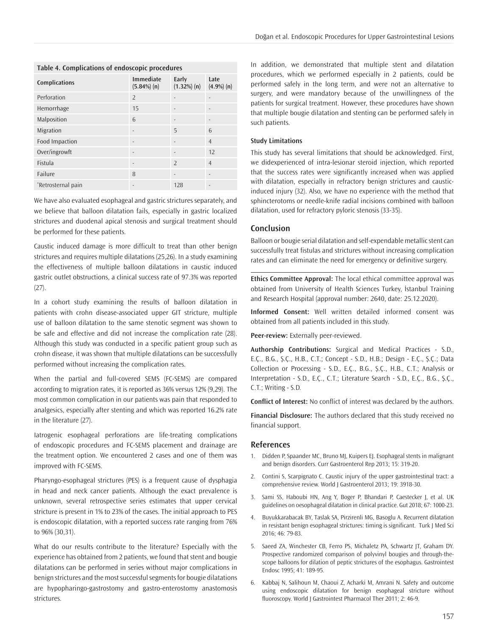| Table 4. Complications of endoscopic procedures |                                    |                      |                       |  |  |  |  |  |  |
|-------------------------------------------------|------------------------------------|----------------------|-----------------------|--|--|--|--|--|--|
| <b>Complications</b>                            | <b>Immediate</b><br>$(5.84\%) (n)$ | Early<br>(1.32%) (n) | Late<br>$(4.9\%) (n)$ |  |  |  |  |  |  |
| Perforation                                     | $\overline{2}$                     |                      |                       |  |  |  |  |  |  |
| Hemorrhage                                      | 15                                 |                      |                       |  |  |  |  |  |  |
| Malposition                                     | 6                                  |                      |                       |  |  |  |  |  |  |
| Migration                                       |                                    | 5                    | 6                     |  |  |  |  |  |  |
| Food Impaction                                  | $\overline{a}$                     |                      | $\overline{4}$        |  |  |  |  |  |  |
| Over/ingrowft                                   | $\overline{\phantom{a}}$           |                      | 12                    |  |  |  |  |  |  |
| Fistula                                         |                                    | $\overline{2}$       | $\overline{4}$        |  |  |  |  |  |  |
| Failure                                         | 8                                  |                      | $\overline{a}$        |  |  |  |  |  |  |
| *Retrosternal pain                              |                                    | 128                  |                       |  |  |  |  |  |  |

### **Table 4. Complications of endoscopic procedures**

We have also evaluated esophageal and gastric strictures separately, and we believe that balloon dilatation fails, especially in gastric localized strictures and duodenal apical stenosis and surgical treatment should be performed for these patients.

Caustic induced damage is more difficult to treat than other benign strictures and requires multiple dilatations (25,26). In a study examining the effectiveness of multiple balloon dilatations in caustic induced gastric outlet obstructions, a clinical success rate of 97.3% was reported  $(27)$ .

In a cohort study examining the results of balloon dilatation in patients with crohn disease-associated upper GIT stricture, multiple use of balloon dilatation to the same stenotic segment was shown to be safe and effective and did not increase the complication rate (28). Although this study was conducted in a specific patient group such as crohn disease, it was shown that multiple dilatations can be successfully performed without increasing the complication rates.

When the partial and full-covered SEMS (FC-SEMS) are compared according to migration rates, it is reported as 36% versus 12% (9,29). The most common complication in our patients was pain that responded to analgesics, especially after stenting and which was reported 16.2% rate in the literature (27).

Iatrogenic esophageal perforations are life-treating complications of endoscopic procedures and FC-SEMS placement and drainage are the treatment option. We encountered 2 cases and one of them was improved with FC-SEMS.

Pharyngo-esophageal strictures (PES) is a frequent cause of dysphagia in head and neck cancer patients. Although the exact prevalence is unknown, several retrospective series estimates that upper cervical stricture is present in 1% to 23% of the cases. The initial approach to PES is endoscopic dilatation, with a reported success rate ranging from 76% to 96% (30,31).

What do our results contribute to the literature? Especially with the experience has obtained from 2 patients, we found that stent and bougie dilatations can be performed in series without major complications in benign strictures and the most successful segments for bougie dilatations are hypopharingo-gastrostomy and gastro-enterostomy anastomosis strictures.

In addition, we demonstrated that multiple stent and dilatation procedures, which we performed especially in 2 patients, could be performed safely in the long term, and were not an alternative to surgery, and were mandatory because of the unwillingness of the patients for surgical treatment. However, these procedures have shown that multiple bougie dilatation and stenting can be performed safely in such patients.

#### **Study Limitations**

This study has several limitations that should be acknowledged. First, we didexperienced of intra-lesionar steroid injection, which reported that the success rates were significantly increased when was applied with dilatation, especially in refractory benign strictures and causticinduced injury (32). Also, we have no experience with the method that sphincterotoms or needle-knife radial incisions combined with balloon dilatation, used for refractory pyloric stenosis (33-35).

#### **Conclusion**

Balloon or bougie serial dilatation and self-expendable metallic stent can successfully treat fistulas and strictures without increasing complication rates and can eliminate the need for emergency or definitive surgery.

**Ethics Committee Approval:** The local ethical committee approval was obtained from University of Health Sciences Turkey, İstanbul Training and Research Hospital (approval number: 2640, date: 25.12.2020).

**Informed Consent:** Well written detailed informed consent was obtained from all patients included in this study.

**Peer-review:** Externally peer-reviewed.

**Authorship Contributions:** Surgical and Medical Practices - S.D., E.Ç., B.G., Ş.Ç., H.B., C.T.; Concept - S.D., H.B.; Design - E.Ç., Ş.Ç.; Data Collection or Processing - S.D., E.Ç., B.G., Ş.Ç., H.B., C.T.; Analysis or Interpretation - S.D., E.Ç., C.T.; Literature Search - S.D., E.Ç., B.G., Ş.Ç., C.T.; Writing - S.D.

**Conflict of Interest:** No conflict of interest was declared by the authors.

**Financial Disclosure:** The authors declared that this study received no financial support.

#### **References**

- 1. Didden P, Spaander MC, Bruno MJ, Kuipers EJ. Esophageal stents in malignant and benign disorders. Curr Gastroenterol Rep 2013; 15: 319-20.
- 2. Contini S, Scarpignato C. Caustic injury of the upper gastrointestinal tract: a comprehensive review. World J Gastroenterol 2013; 19: 3918-30.
- 3. Sami SS, Haboubi HN, Ang Y, Boger P, Bhandari P, Caestecker J, et al. UK guidelines on oesophageal dilatation in clinical practice. Gut 2018; 67: 1000-23.
- 4. Buyukkarabacak BY, Taslak SA, Pirzirenli MG, Basoglu A. Recurrent dilatation in resistant benign esophageal strictures: timing is significant. Turk J Med Sci 2016; 46: 79-83.
- 5. Saeed ZA, Winchester CB, Ferro PS, Michaletz PA, Schwartz JT, Graham DY. Prospective randomized comparison of polyvinyl bougies and through-thescope balloons for dilation of peptic strictures of the esophagus. Gastrointest Endosc 1995; 41: 189-95.
- 6. Kabbaj N, Salihoun M, Chaoui Z, Acharki M, Amrani N. Safety and outcome using endoscopic dilatation for benign esophageal stricture without fluoroscopy. World J Gastrointest Pharmacol Ther 2011; 2: 46-9.